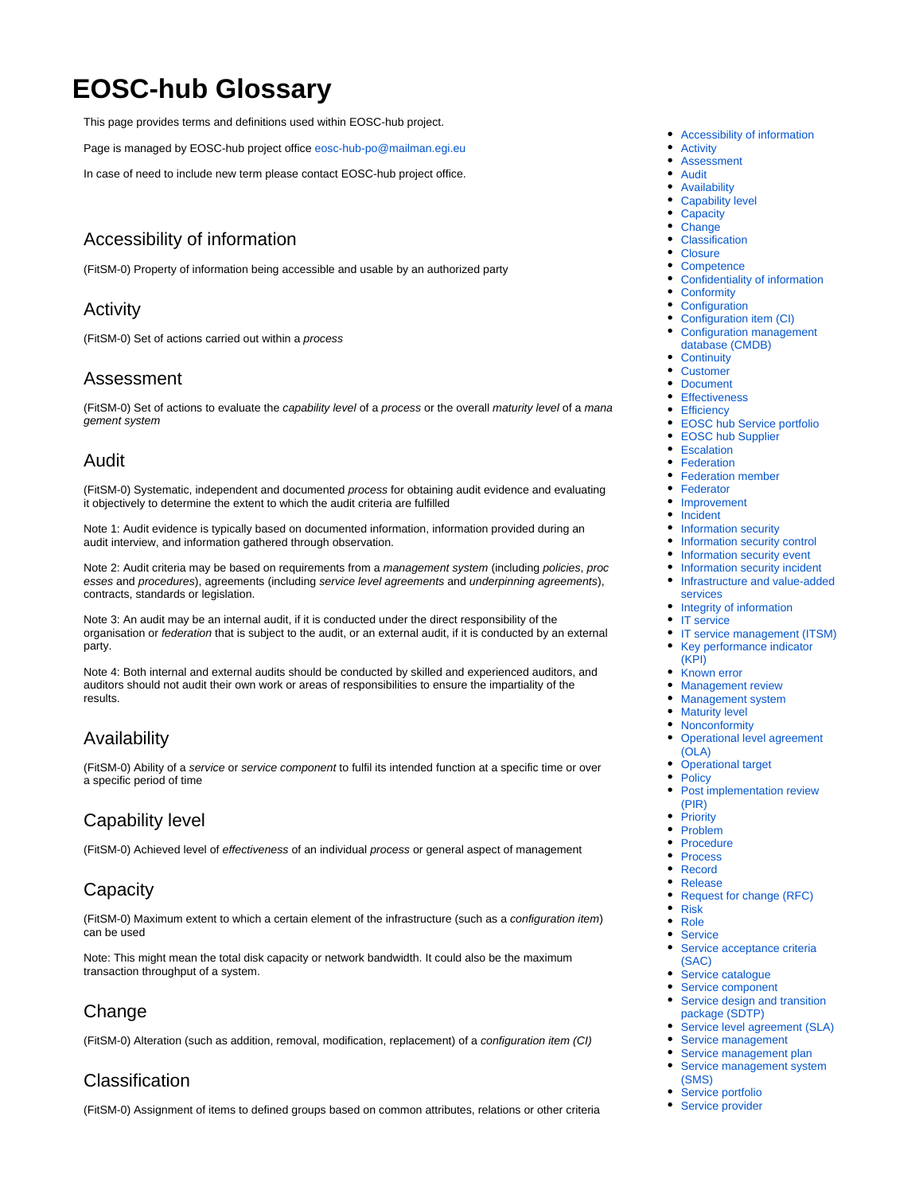# **EOSC-hub Glossary**

This page provides terms and definitions used within EOSC-hub project.

Page is managed by EOSC-hub project office [eosc-hub-po@mailman.egi.eu](mailto:eosc-hub-po@mailman.egi.eu)

In case of need to include new term please contact EOSC-hub project office.

### <span id="page-0-0"></span>Accessibility of information

(FitSM-0) Property of information being accessible and usable by an authorized party

### <span id="page-0-1"></span>Activity

(FitSM-0) Set of actions carried out within a process

#### <span id="page-0-2"></span>Assessment

(FitSM-0) Set of actions to evaluate the capability level of a process or the overall maturity level of a mana gement system

### <span id="page-0-3"></span>Audit

(FitSM-0) Systematic, independent and documented process for obtaining audit evidence and evaluating it objectively to determine the extent to which the audit criteria are fulfilled

Note 1: Audit evidence is typically based on documented information, information provided during an audit interview, and information gathered through observation.

Note 2: Audit criteria may be based on requirements from a management system (including policies, proc esses and procedures), agreements (including service level agreements and underpinning agreements), contracts, standards or legislation.

Note 3: An audit may be an internal audit, if it is conducted under the direct responsibility of the organisation or *federation* that is subject to the audit, or an external audit, if it is conducted by an external party.

Note 4: Both internal and external audits should be conducted by skilled and experienced auditors, and auditors should not audit their own work or areas of responsibilities to ensure the impartiality of the results.

# <span id="page-0-4"></span>Availability

(FitSM-0) Ability of a service or service component to fulfil its intended function at a specific time or over a specific period of time

# <span id="page-0-5"></span>Capability level

(FitSM-0) Achieved level of effectiveness of an individual process or general aspect of management

### <span id="page-0-6"></span>Capacity

(FitSM-0) Maximum extent to which a certain element of the infrastructure (such as a configuration item) can be used

Note: This might mean the total disk capacity or network bandwidth. It could also be the maximum transaction throughput of a system.

# <span id="page-0-7"></span>Change

(FitSM-0) Alteration (such as addition, removal, modification, replacement) of a configuration item (CI)

# <span id="page-0-8"></span>Classification

(FitSM-0) Assignment of items to defined groups based on common attributes, relations or other criteria

- [Accessibility of information](#page-0-0)
- $\bullet$ [Activity](#page-0-1)
- $\bullet$ [Assessment](#page-0-2)
- [Audit](#page-0-3)
- [Availability](#page-0-4)
- [Capability level](#page-0-5)
- [Capacity](#page-0-6)
- [Change](#page-0-7) [Classification](#page-0-8)
- [Closure](#page-1-0)
- $\bullet$
- **[Competence](#page-1-1)**  $\bullet$ [Confidentiality of information](#page-1-2)
- **[Conformity](#page-1-3)**
- **[Configuration](#page-1-4)**  $\bullet$
- [Configuration item \(CI\)](#page-1-5)
- [Configuration management](#page-1-6)  [database \(CMDB\)](#page-1-6)
- [Continuity](#page-1-7)
- [Customer](#page-2-0)
- $\bullet$ **[Document](#page-2-1)**
- **[Effectiveness](#page-2-2)**
- $\bullet$ **[Efficiency](#page-2-3)**
- [EOSC hub Service portfolio](#page-2-4)
- [EOSC hub Supplier](#page-2-5)
- [Escalation](#page-2-6)
- [Federation](#page-2-7)
- **[Federation member](#page-3-0)**
- [Federator](#page-3-1)  $\bullet$
- [Improvement](#page-3-2) [Incident](#page-3-3)
- $\bullet$ [Information security](#page-3-4)
- [Information security control](#page-3-5)  $\bullet$
- [Information security event](#page-3-6)
- [Information security incident](#page-3-7)
- [Infrastructure and value-added](#page-3-8)   $\bullet$ [services](#page-3-8)
- $\bullet$ [Integrity of information](#page-3-9)
- [IT service](#page-3-10)
- [IT service management \(ITSM\)](#page-3-11) [Key performance indicator](#page-4-0)
- [\(KPI\)](#page-4-0)
- [Known error](#page-4-1)
- 
- [Management review](#page-4-2) [Management system](#page-4-3)
- $\bullet$ [Maturity level](#page-4-4)
- [Nonconformity](#page-4-5)
- [Operational level agreement](#page-4-6)  [\(OLA\)](#page-4-6)
- [Operational target](#page-4-7)
- [Policy](#page-5-0)
- $\bullet$ [Post implementation review](#page-5-1)  [\(PIR\)](#page-5-1)
- **[Priority](#page-5-2)**
- [Problem](#page-5-3)
- $\bullet$ [Procedure](#page-5-4)
- [Process](#page-5-5)
- [Record](#page-5-6)
- [Release](#page-5-7)
- [Request for change \(RFC\)](#page-5-8)
- [Risk](#page-5-9)
- $\bullet$ [Role](#page-6-0)
- **[Service](#page-6-1)**  $\bullet$ [Service acceptance criteria](#page-6-2)  [\(SAC\)](#page-6-2)
- $\bullet$ [Service catalogue](#page-6-3)
- [Service component](#page-6-4)
- [Service design and transition](#page-6-5)  [package \(SDTP\)](#page-6-5)
- [Service level agreement \(SLA\)](#page-6-6)
- [Service management](#page-6-7)
- [Service management plan](#page-7-0)  $\bullet$ [Service management system](#page-7-1)  [\(SMS\)](#page-7-1)
- [Service portfolio](#page-7-2)
- [Service provider](#page-7-3)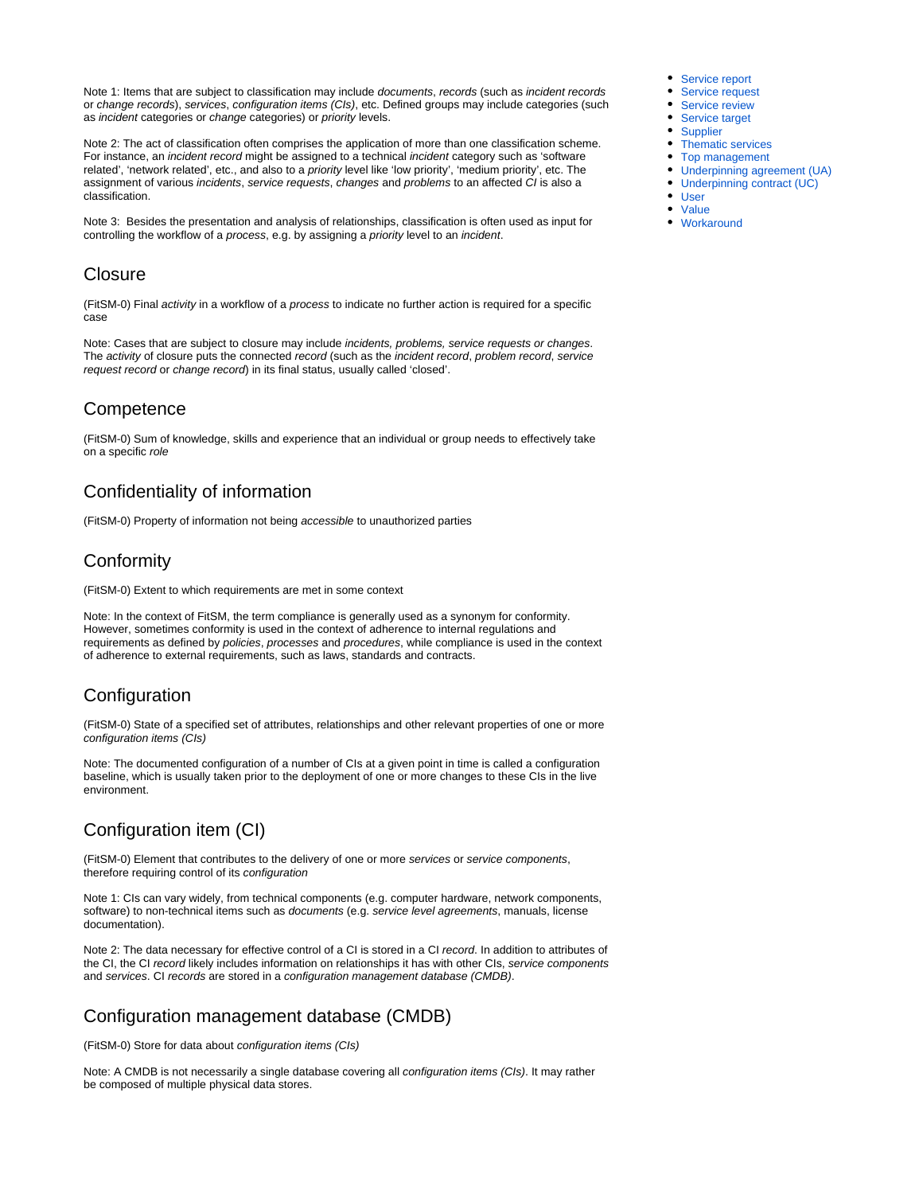Note 1: Items that are subject to classification may include documents, records (such as incident records or change records), services, configuration items (CIs), etc. Defined groups may include categories (such as incident categories or change categories) or priority levels.

Note 2: The act of classification often comprises the application of more than one classification scheme. For instance, an *incident record* might be assigned to a technical *incident* category such as 'software related', 'network related', etc., and also to a *priority* level like 'low priority', 'medium priority', etc. The assignment of various incidents, service requests, changes and problems to an affected CI is also a classification.

Note 3: Besides the presentation and analysis of relationships, classification is often used as input for controlling the workflow of a process, e.g. by assigning a priority level to an incident.

#### <span id="page-1-0"></span>**Closure**

(FitSM-0) Final activity in a workflow of a process to indicate no further action is required for a specific case

Note: Cases that are subject to closure may include incidents, problems, service requests or changes. The activity of closure puts the connected record (such as the incident record, problem record, service request record or change record) in its final status, usually called 'closed'.

# <span id="page-1-1"></span>**Competence**

(FitSM-0) Sum of knowledge, skills and experience that an individual or group needs to effectively take on a specific role

# <span id="page-1-2"></span>Confidentiality of information

(FitSM-0) Property of information not being accessible to unauthorized parties

# <span id="page-1-3"></span>Conformity

(FitSM-0) Extent to which requirements are met in some context

Note: In the context of FitSM, the term compliance is generally used as a synonym for conformity. However, sometimes conformity is used in the context of adherence to internal regulations and requirements as defined by policies, processes and procedures, while compliance is used in the context of adherence to external requirements, such as laws, standards and contracts.

# <span id="page-1-4"></span>**Configuration**

(FitSM-0) State of a specified set of attributes, relationships and other relevant properties of one or more configuration items (CIs)

Note: The documented configuration of a number of CIs at a given point in time is called a configuration baseline, which is usually taken prior to the deployment of one or more changes to these CIs in the live environment.

# <span id="page-1-5"></span>Configuration item (CI)

(FitSM-0) Element that contributes to the delivery of one or more services or service components, therefore requiring control of its configuration

Note 1: CIs can vary widely, from technical components (e.g. computer hardware, network components, software) to non-technical items such as *documents* (e.g. service level agreements, manuals, license documentation).

Note 2: The data necessary for effective control of a CI is stored in a CI record. In addition to attributes of the CI, the CI record likely includes information on relationships it has with other CIs, service components and services. CI records are stored in a configuration management database (CMDB).

# <span id="page-1-6"></span>Configuration management database (CMDB)

(FitSM-0) Store for data about configuration items (CIs)

<span id="page-1-7"></span>Note: A CMDB is not necessarily a single database covering all configuration items (CIs). It may rather be composed of multiple physical data stores.

- [Service report](#page-7-4)
- [Service request](#page-7-5) • [Service review](#page-7-6)
- [Service target](#page-7-7)
- [Supplier](#page-7-8)
- [Thematic services](#page-7-9)
- [Top management](#page-7-10)
- [Underpinning agreement \(UA\)](#page-8-0)
- [Underpinning contract \(UC\)](#page-8-1)
- [User](#page-8-2)
- [Value](#page-8-3)
- [Workaround](#page-8-4)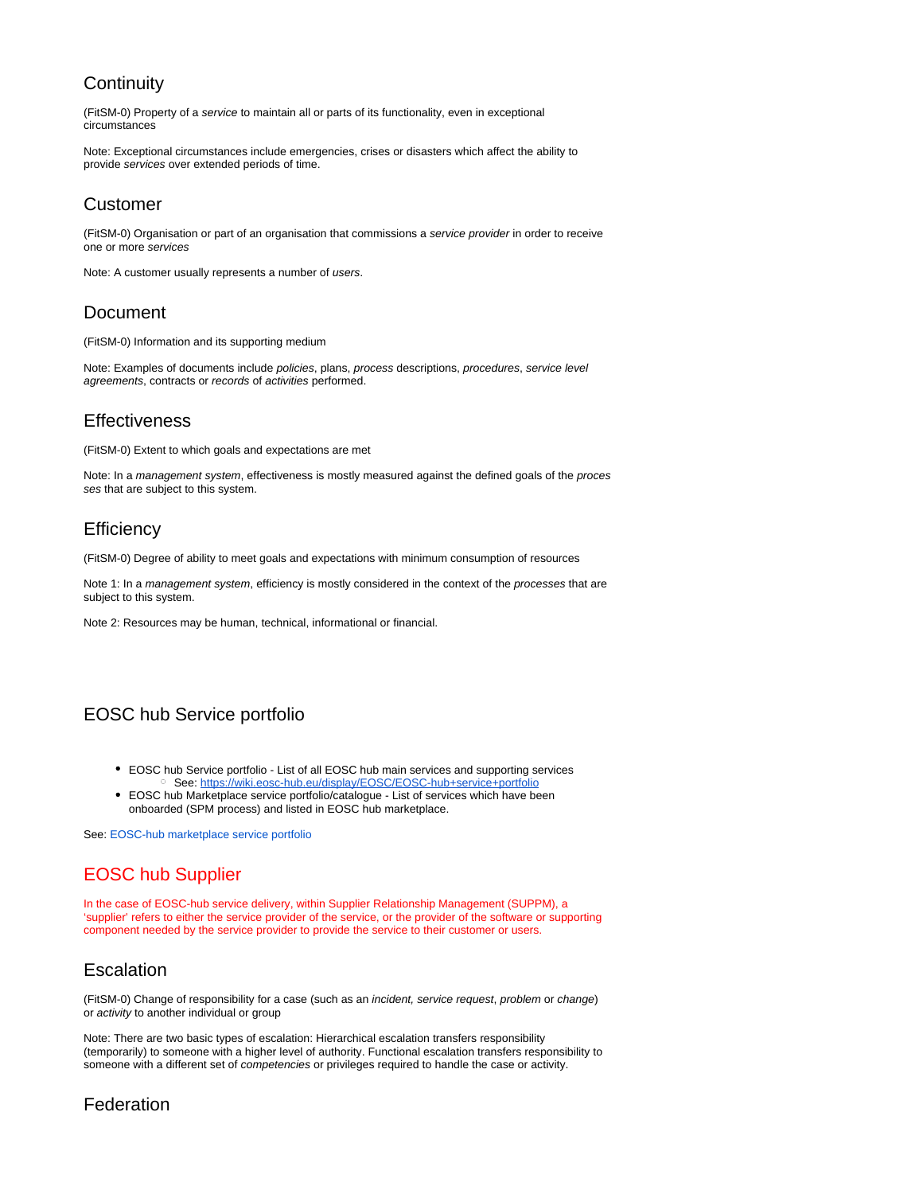# **Continuity**

(FitSM-0) Property of a service to maintain all or parts of its functionality, even in exceptional circumstances

Note: Exceptional circumstances include emergencies, crises or disasters which affect the ability to provide services over extended periods of time.

# <span id="page-2-0"></span>Customer

(FitSM-0) Organisation or part of an organisation that commissions a service provider in order to receive one or more services

Note: A customer usually represents a number of users.

# <span id="page-2-1"></span>Document

(FitSM-0) Information and its supporting medium

Note: Examples of documents include policies, plans, process descriptions, procedures, service level agreements, contracts or records of activities performed.

# <span id="page-2-2"></span>**Effectiveness**

(FitSM-0) Extent to which goals and expectations are met

Note: In a management system, effectiveness is mostly measured against the defined goals of the proces ses that are subject to this system.

### <span id="page-2-3"></span>**Efficiency**

(FitSM-0) Degree of ability to meet goals and expectations with minimum consumption of resources

Note 1: In a management system, efficiency is mostly considered in the context of the processes that are subject to this system.

Note 2: Resources may be human, technical, informational or financial.

# <span id="page-2-4"></span>EOSC hub Service portfolio

- EOSC hub Service portfolio List of all EOSC hub main services and supporting services o See:<https://wiki.eosc-hub.eu/display/EOSC/EOSC-hub+service+portfolio>
- EOSC hub Marketplace service portfolio/catalogue List of services which have been onboarded (SPM process) and listed in EOSC hub marketplace.

See: EOSC-hub marketplace service portfolio

# <span id="page-2-5"></span>EOSC hub Supplier

In the case of EOSC-hub service delivery, within Supplier Relationship Management (SUPPM), a 'supplier' refers to either the service provider of the service, or the provider of the software or supporting component needed by the service provider to provide the service to their customer or users.

# <span id="page-2-6"></span>**Escalation**

(FitSM-0) Change of responsibility for a case (such as an incident, service request, problem or change) or activity to another individual or group

Note: There are two basic types of escalation: Hierarchical escalation transfers responsibility (temporarily) to someone with a higher level of authority. Functional escalation transfers responsibility to someone with a different set of *competencies* or privileges required to handle the case or activity.

# <span id="page-2-7"></span>Federation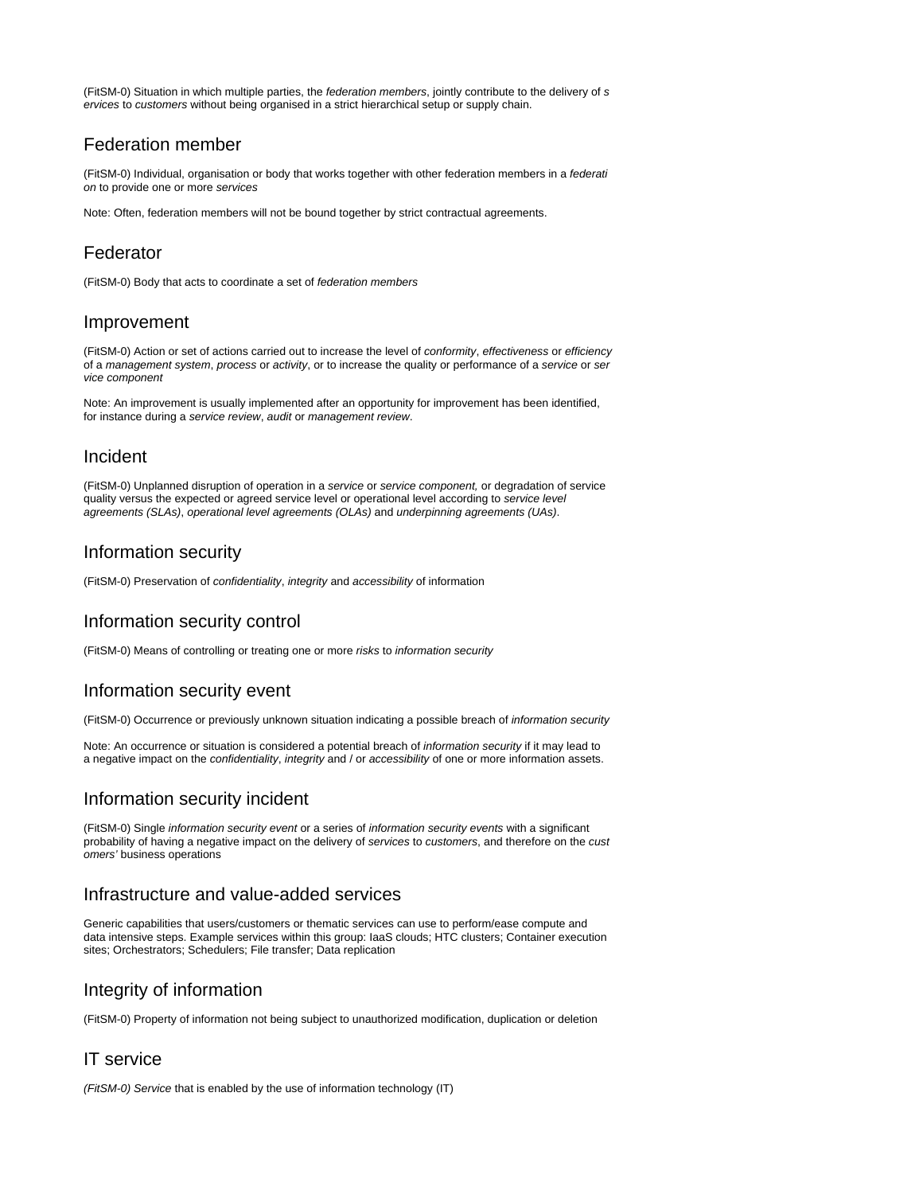(FitSM-0) Situation in which multiple parties, the federation members, jointly contribute to the delivery of s ervices to customers without being organised in a strict hierarchical setup or supply chain.

### <span id="page-3-0"></span>Federation member

(FitSM-0) Individual, organisation or body that works together with other federation members in a federati on to provide one or more services

Note: Often, federation members will not be bound together by strict contractual agreements.

# <span id="page-3-1"></span>Federator

(FitSM-0) Body that acts to coordinate a set of federation members

### <span id="page-3-2"></span>Improvement

(FitSM-0) Action or set of actions carried out to increase the level of conformity, effectiveness or efficiency of a management system, process or activity, or to increase the quality or performance of a service or ser vice component

Note: An improvement is usually implemented after an opportunity for improvement has been identified, for instance during a service review, audit or management review.

# <span id="page-3-3"></span>Incident

(FitSM-0) Unplanned disruption of operation in a service or service component, or degradation of service quality versus the expected or agreed service level or operational level according to service level agreements (SLAs), operational level agreements (OLAs) and underpinning agreements (UAs).

### <span id="page-3-4"></span>Information security

(FitSM-0) Preservation of confidentiality, integrity and accessibility of information

# <span id="page-3-5"></span>Information security control

(FitSM-0) Means of controlling or treating one or more risks to information security

# <span id="page-3-6"></span>Information security event

(FitSM-0) Occurrence or previously unknown situation indicating a possible breach of information security

Note: An occurrence or situation is considered a potential breach of information security if it may lead to a negative impact on the confidentiality, integrity and / or accessibility of one or more information assets.

# <span id="page-3-7"></span>Information security incident

(FitSM-0) Single information security event or a series of information security events with a significant probability of having a negative impact on the delivery of services to customers, and therefore on the cust omers' business operations

# <span id="page-3-8"></span>Infrastructure and value-added services

Generic capabilities that users/customers or thematic services can use to perform/ease compute and data intensive steps. Example services within this group: IaaS clouds; HTC clusters; Container execution sites; Orchestrators; Schedulers; File transfer; Data replication

# <span id="page-3-9"></span>Integrity of information

(FitSM-0) Property of information not being subject to unauthorized modification, duplication or deletion

### <span id="page-3-10"></span>IT service

<span id="page-3-11"></span>(FitSM-0) Service that is enabled by the use of information technology (IT)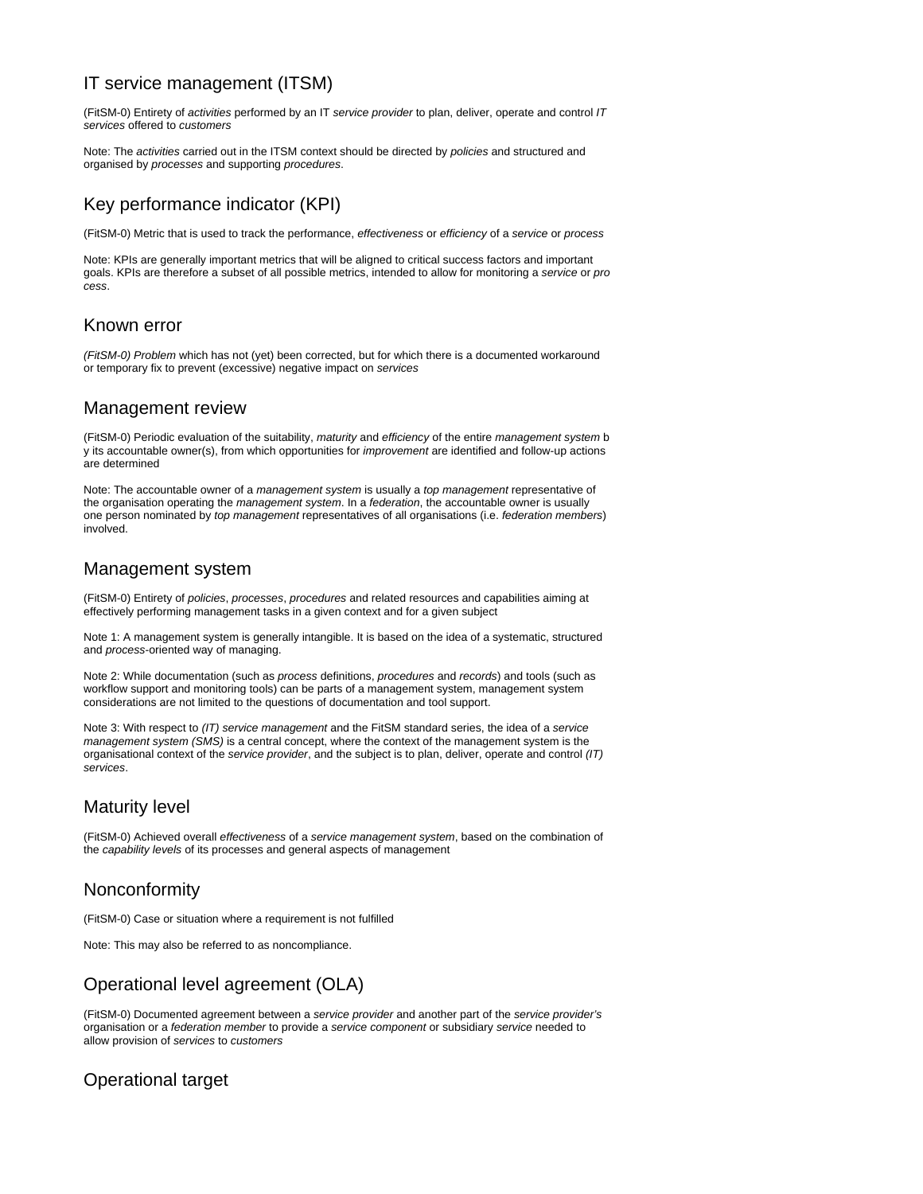# IT service management (ITSM)

(FitSM-0) Entirety of activities performed by an IT service provider to plan, deliver, operate and control IT services offered to customers

Note: The activities carried out in the ITSM context should be directed by policies and structured and organised by processes and supporting procedures.

# <span id="page-4-0"></span>Key performance indicator (KPI)

(FitSM-0) Metric that is used to track the performance, effectiveness or efficiency of a service or process

Note: KPIs are generally important metrics that will be aligned to critical success factors and important goals. KPIs are therefore a subset of all possible metrics, intended to allow for monitoring a service or pro cess.

#### <span id="page-4-1"></span>Known error

(FitSM-0) Problem which has not (yet) been corrected, but for which there is a documented workaround or temporary fix to prevent (excessive) negative impact on services

#### <span id="page-4-2"></span>Management review

(FitSM-0) Periodic evaluation of the suitability, maturity and efficiency of the entire management system b y its accountable owner(s), from which opportunities for improvement are identified and follow-up actions are determined

Note: The accountable owner of a management system is usually a top management representative of the organisation operating the management system. In a federation, the accountable owner is usually one person nominated by top management representatives of all organisations (i.e. federation members) involved.

### <span id="page-4-3"></span>Management system

(FitSM-0) Entirety of policies, processes, procedures and related resources and capabilities aiming at effectively performing management tasks in a given context and for a given subject

Note 1: A management system is generally intangible. It is based on the idea of a systematic, structured and process-oriented way of managing.

Note 2: While documentation (such as process definitions, procedures and records) and tools (such as workflow support and monitoring tools) can be parts of a management system, management system considerations are not limited to the questions of documentation and tool support.

Note 3: With respect to (IT) service management and the FitSM standard series, the idea of a service management system (SMS) is a central concept, where the context of the management system is the organisational context of the service provider, and the subject is to plan, deliver, operate and control (IT) services.

# <span id="page-4-4"></span>Maturity level

(FitSM-0) Achieved overall effectiveness of a service management system, based on the combination of the capability levels of its processes and general aspects of management

# <span id="page-4-5"></span>Nonconformity

(FitSM-0) Case or situation where a requirement is not fulfilled

Note: This may also be referred to as noncompliance.

# <span id="page-4-6"></span>Operational level agreement (OLA)

(FitSM-0) Documented agreement between a service provider and another part of the service provider's organisation or a federation member to provide a service component or subsidiary service needed to allow provision of services to customers

# <span id="page-4-7"></span>Operational target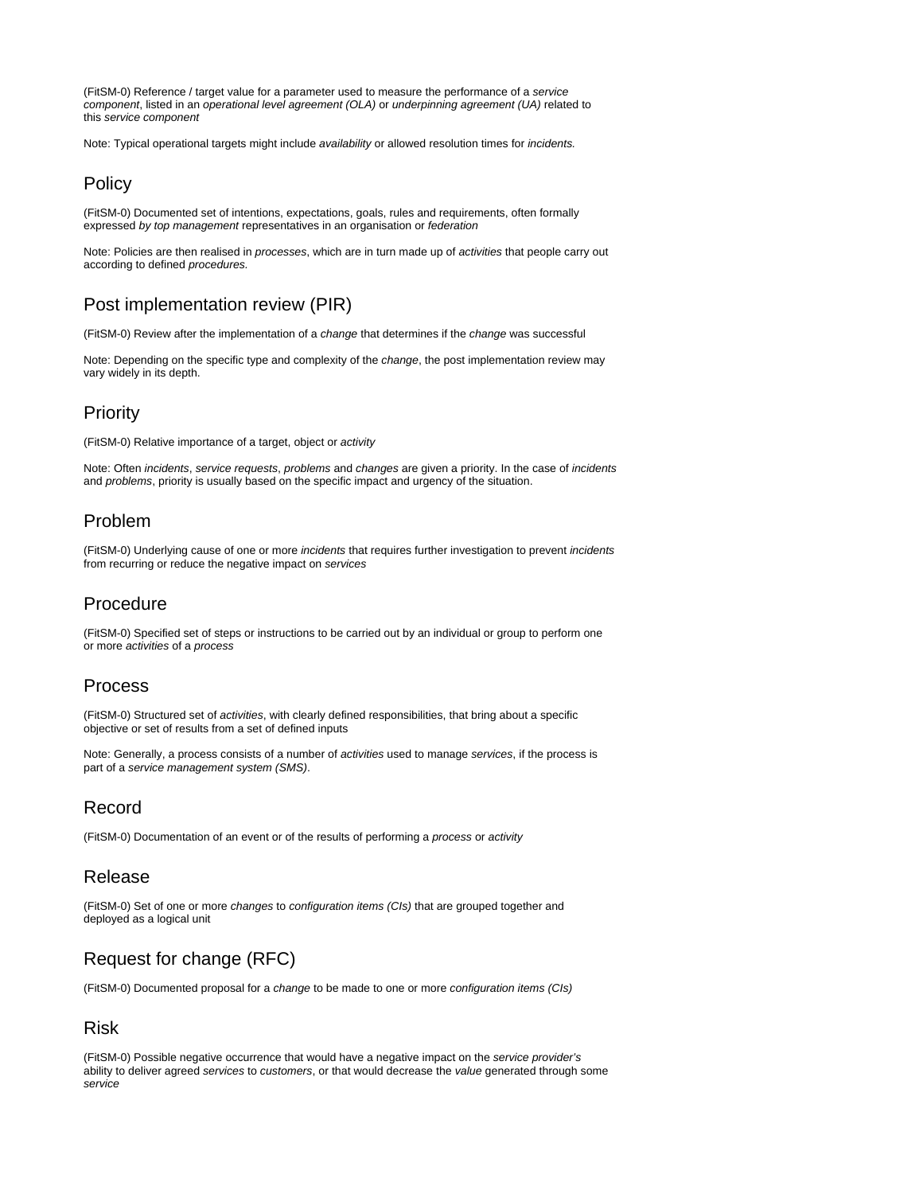(FitSM-0) Reference / target value for a parameter used to measure the performance of a service component, listed in an operational level agreement (OLA) or underpinning agreement (UA) related to this service component

Note: Typical operational targets might include availability or allowed resolution times for incidents.

### <span id="page-5-0"></span>**Policy**

(FitSM-0) Documented set of intentions, expectations, goals, rules and requirements, often formally expressed by top management representatives in an organisation or federation

Note: Policies are then realised in processes, which are in turn made up of activities that people carry out according to defined procedures.

# <span id="page-5-1"></span>Post implementation review (PIR)

(FitSM-0) Review after the implementation of a change that determines if the change was successful

Note: Depending on the specific type and complexity of the change, the post implementation review may vary widely in its depth.

### <span id="page-5-2"></span>**Priority**

(FitSM-0) Relative importance of a target, object or activity

Note: Often incidents, service requests, problems and changes are given a priority. In the case of incidents and problems, priority is usually based on the specific impact and urgency of the situation.

#### <span id="page-5-3"></span>Problem

(FitSM-0) Underlying cause of one or more incidents that requires further investigation to prevent incidents from recurring or reduce the negative impact on services

# <span id="page-5-4"></span>Procedure

(FitSM-0) Specified set of steps or instructions to be carried out by an individual or group to perform one or more activities of a process

#### <span id="page-5-5"></span>Process

(FitSM-0) Structured set of activities, with clearly defined responsibilities, that bring about a specific objective or set of results from a set of defined inputs

Note: Generally, a process consists of a number of activities used to manage services, if the process is part of a service management system (SMS).

# <span id="page-5-6"></span>Record

(FitSM-0) Documentation of an event or of the results of performing a process or activity

### <span id="page-5-7"></span>Release

(FitSM-0) Set of one or more changes to configuration items (CIs) that are grouped together and deployed as a logical unit

# <span id="page-5-8"></span>Request for change (RFC)

(FitSM-0) Documented proposal for a change to be made to one or more configuration items (CIs)

#### <span id="page-5-9"></span>Risk

(FitSM-0) Possible negative occurrence that would have a negative impact on the service provider's ability to deliver agreed services to customers, or that would decrease the value generated through some service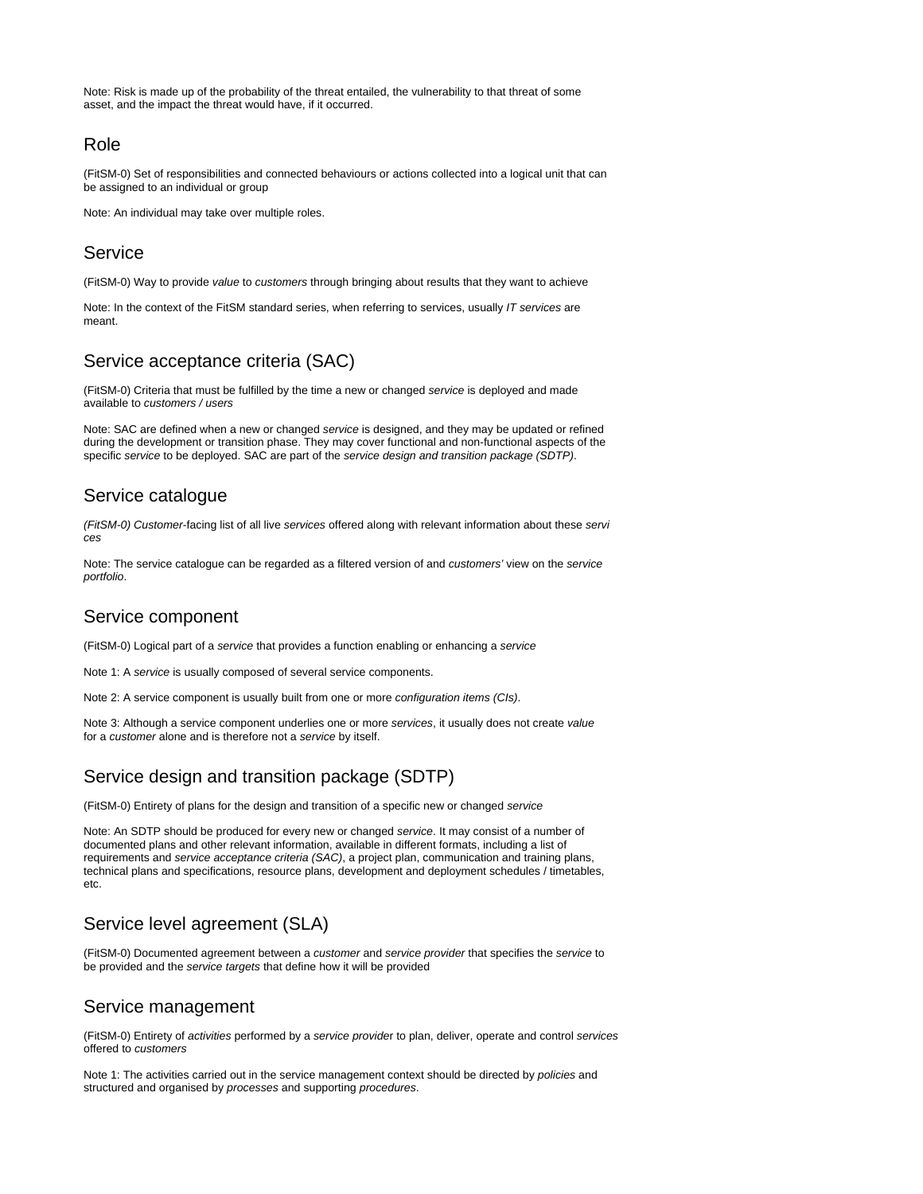Note: Risk is made up of the probability of the threat entailed, the vulnerability to that threat of some asset, and the impact the threat would have, if it occurred.

#### <span id="page-6-0"></span>Role

(FitSM-0) Set of responsibilities and connected behaviours or actions collected into a logical unit that can be assigned to an individual or group

Note: An individual may take over multiple roles.

#### <span id="page-6-1"></span>**Service**

(FitSM-0) Way to provide value to customers through bringing about results that they want to achieve

Note: In the context of the FitSM standard series, when referring to services, usually IT services are meant.

# <span id="page-6-2"></span>Service acceptance criteria (SAC)

(FitSM-0) Criteria that must be fulfilled by the time a new or changed service is deployed and made available to customers / users

Note: SAC are defined when a new or changed service is designed, and they may be updated or refined during the development or transition phase. They may cover functional and non-functional aspects of the specific service to be deployed. SAC are part of the service design and transition package (SDTP).

### <span id="page-6-3"></span>Service catalogue

(FitSM-0) Customer-facing list of all live services offered along with relevant information about these servi ces

Note: The service catalogue can be regarded as a filtered version of and customers' view on the service portfolio.

### <span id="page-6-4"></span>Service component

(FitSM-0) Logical part of a service that provides a function enabling or enhancing a service

Note 1: A service is usually composed of several service components.

Note 2: A service component is usually built from one or more configuration items (CIs).

Note 3: Although a service component underlies one or more services, it usually does not create value for a customer alone and is therefore not a service by itself.

# <span id="page-6-5"></span>Service design and transition package (SDTP)

(FitSM-0) Entirety of plans for the design and transition of a specific new or changed service

Note: An SDTP should be produced for every new or changed service. It may consist of a number of documented plans and other relevant information, available in different formats, including a list of requirements and service acceptance criteria (SAC), a project plan, communication and training plans, technical plans and specifications, resource plans, development and deployment schedules / timetables, etc.

# <span id="page-6-6"></span>Service level agreement (SLA)

(FitSM-0) Documented agreement between a customer and service provider that specifies the service to be provided and the service targets that define how it will be provided

# <span id="page-6-7"></span>Service management

(FitSM-0) Entirety of activities performed by a service provider to plan, deliver, operate and control services offered to customers

Note 1: The activities carried out in the service management context should be directed by policies and structured and organised by processes and supporting procedures.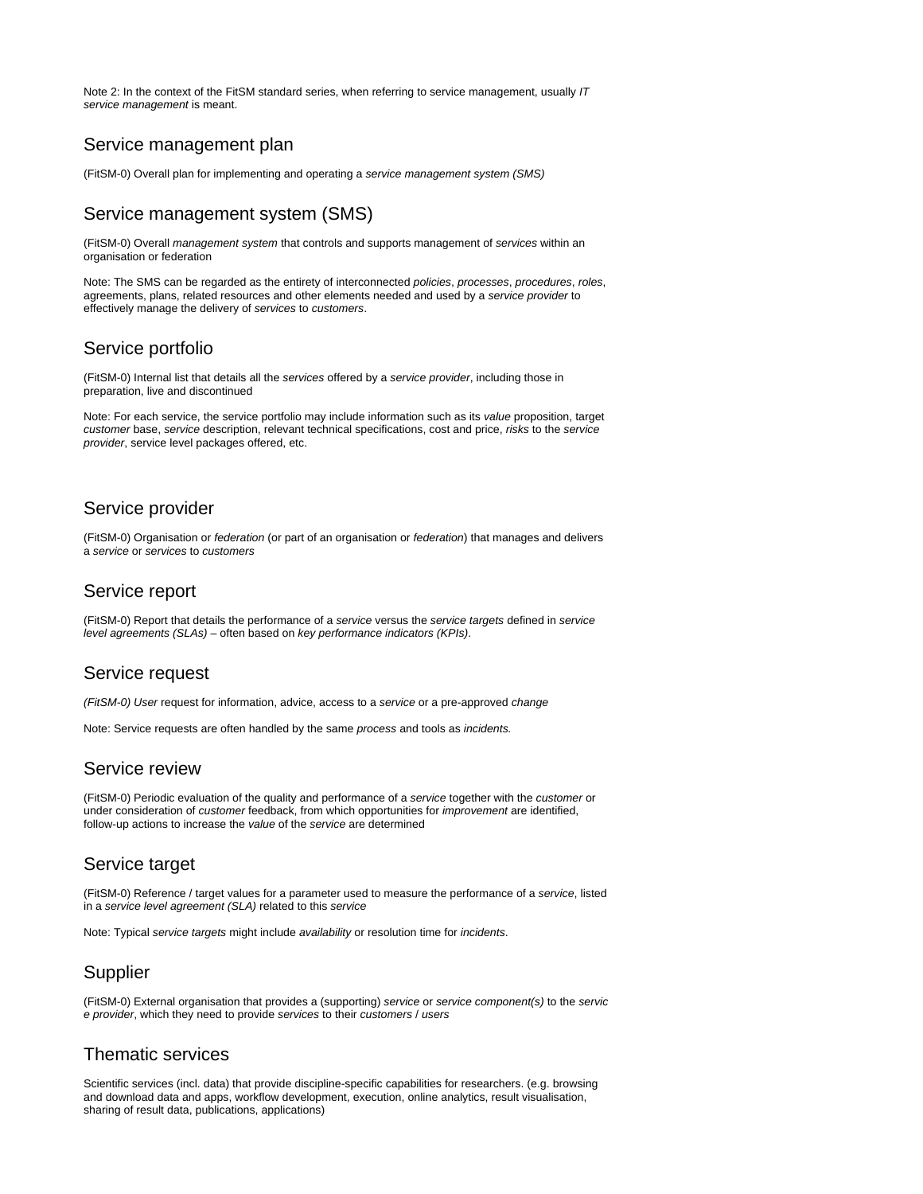Note 2: In the context of the FitSM standard series, when referring to service management, usually IT service management is meant.

### <span id="page-7-0"></span>Service management plan

(FitSM-0) Overall plan for implementing and operating a service management system (SMS)

### <span id="page-7-1"></span>Service management system (SMS)

(FitSM-0) Overall management system that controls and supports management of services within an organisation or federation

Note: The SMS can be regarded as the entirety of interconnected policies, processes, procedures, roles, agreements, plans, related resources and other elements needed and used by a service provider to effectively manage the delivery of services to customers.

### <span id="page-7-2"></span>Service portfolio

(FitSM-0) Internal list that details all the services offered by a service provider, including those in preparation, live and discontinued

Note: For each service, the service portfolio may include information such as its value proposition, target customer base, service description, relevant technical specifications, cost and price, risks to the service provider, service level packages offered, etc.

### <span id="page-7-3"></span>Service provider

(FitSM-0) Organisation or federation (or part of an organisation or federation) that manages and delivers a service or services to customers

#### <span id="page-7-4"></span>Service report

(FitSM-0) Report that details the performance of a service versus the service targets defined in service level agreements (SLAs) – often based on key performance indicators (KPIs).

#### <span id="page-7-5"></span>Service request

(FitSM-0) User request for information, advice, access to a service or a pre-approved change

Note: Service requests are often handled by the same process and tools as incidents.

#### <span id="page-7-6"></span>Service review

(FitSM-0) Periodic evaluation of the quality and performance of a service together with the customer or under consideration of *customer* feedback, from which opportunities for *improvement* are identified, follow-up actions to increase the value of the service are determined

### <span id="page-7-7"></span>Service target

(FitSM-0) Reference / target values for a parameter used to measure the performance of a service, listed in a service level agreement (SLA) related to this service

Note: Typical service targets might include availability or resolution time for incidents.

### <span id="page-7-8"></span>**Supplier**

(FitSM-0) External organisation that provides a (supporting) service or service component(s) to the servic e provider, which they need to provide services to their customers / users

### <span id="page-7-9"></span>Thematic services

<span id="page-7-10"></span>Scientific services (incl. data) that provide discipline-specific capabilities for researchers. (e.g. browsing and download data and apps, workflow development, execution, online analytics, result visualisation, sharing of result data, publications, applications)